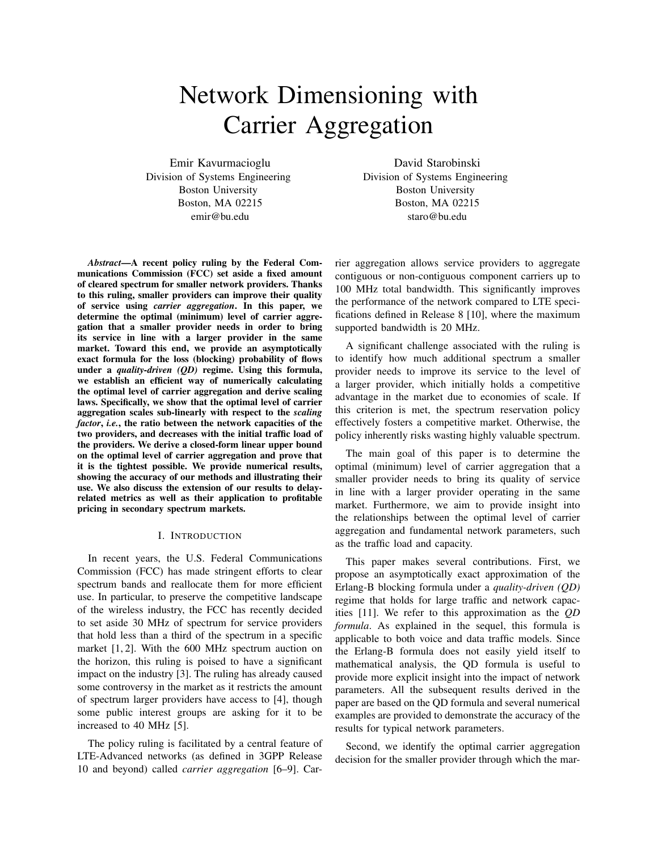# Network Dimensioning with Carrier Aggregation

Emir Kavurmacioglu Division of Systems Engineering Boston University Boston, MA 02215 emir@bu.edu

*Abstract*—A recent policy ruling by the Federal Communications Commission (FCC) set aside a fixed amount of cleared spectrum for smaller network providers. Thanks to this ruling, smaller providers can improve their quality of service using *carrier aggregation*. In this paper, we determine the optimal (minimum) level of carrier aggregation that a smaller provider needs in order to bring its service in line with a larger provider in the same market. Toward this end, we provide an asymptotically exact formula for the loss (blocking) probability of flows under a *quality-driven (QD)* regime. Using this formula, we establish an efficient way of numerically calculating the optimal level of carrier aggregation and derive scaling laws. Specifically, we show that the optimal level of carrier aggregation scales sub-linearly with respect to the *scaling factor*, *i.e.*, the ratio between the network capacities of the two providers, and decreases with the initial traffic load of the providers. We derive a closed-form linear upper bound on the optimal level of carrier aggregation and prove that it is the tightest possible. We provide numerical results, showing the accuracy of our methods and illustrating their use. We also discuss the extension of our results to delayrelated metrics as well as their application to profitable pricing in secondary spectrum markets.

## I. INTRODUCTION

In recent years, the U.S. Federal Communications Commission (FCC) has made stringent efforts to clear spectrum bands and reallocate them for more efficient use. In particular, to preserve the competitive landscape of the wireless industry, the FCC has recently decided to set aside 30 MHz of spectrum for service providers that hold less than a third of the spectrum in a specific market [1, 2]. With the 600 MHz spectrum auction on the horizon, this ruling is poised to have a significant impact on the industry [3]. The ruling has already caused some controversy in the market as it restricts the amount of spectrum larger providers have access to [4], though some public interest groups are asking for it to be increased to 40 MHz [5].

The policy ruling is facilitated by a central feature of LTE-Advanced networks (as defined in 3GPP Release 10 and beyond) called *carrier aggregation* [6–9]. Car-

David Starobinski Division of Systems Engineering Boston University Boston, MA 02215 staro@bu.edu

rier aggregation allows service providers to aggregate contiguous or non-contiguous component carriers up to 100 MHz total bandwidth. This significantly improves the performance of the network compared to LTE specifications defined in Release 8 [10], where the maximum supported bandwidth is 20 MHz.

A significant challenge associated with the ruling is to identify how much additional spectrum a smaller provider needs to improve its service to the level of a larger provider, which initially holds a competitive advantage in the market due to economies of scale. If this criterion is met, the spectrum reservation policy effectively fosters a competitive market. Otherwise, the policy inherently risks wasting highly valuable spectrum.

The main goal of this paper is to determine the optimal (minimum) level of carrier aggregation that a smaller provider needs to bring its quality of service in line with a larger provider operating in the same market. Furthermore, we aim to provide insight into the relationships between the optimal level of carrier aggregation and fundamental network parameters, such as the traffic load and capacity.

This paper makes several contributions. First, we propose an asymptotically exact approximation of the Erlang-B blocking formula under a *quality-driven (QD)* regime that holds for large traffic and network capacities [11]. We refer to this approximation as the *QD formula*. As explained in the sequel, this formula is applicable to both voice and data traffic models. Since the Erlang-B formula does not easily yield itself to mathematical analysis, the QD formula is useful to provide more explicit insight into the impact of network parameters. All the subsequent results derived in the paper are based on the QD formula and several numerical examples are provided to demonstrate the accuracy of the results for typical network parameters.

Second, we identify the optimal carrier aggregation decision for the smaller provider through which the mar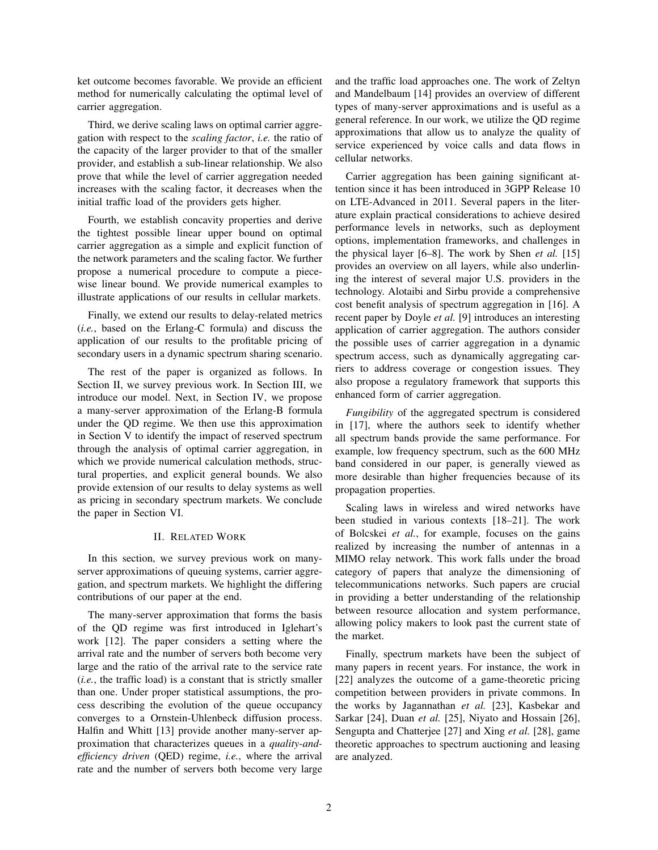ket outcome becomes favorable. We provide an efficient method for numerically calculating the optimal level of carrier aggregation.

Third, we derive scaling laws on optimal carrier aggregation with respect to the *scaling factor*, *i.e.* the ratio of the capacity of the larger provider to that of the smaller provider, and establish a sub-linear relationship. We also prove that while the level of carrier aggregation needed increases with the scaling factor, it decreases when the initial traffic load of the providers gets higher.

Fourth, we establish concavity properties and derive the tightest possible linear upper bound on optimal carrier aggregation as a simple and explicit function of the network parameters and the scaling factor. We further propose a numerical procedure to compute a piecewise linear bound. We provide numerical examples to illustrate applications of our results in cellular markets.

Finally, we extend our results to delay-related metrics (*i.e.*, based on the Erlang-C formula) and discuss the application of our results to the profitable pricing of secondary users in a dynamic spectrum sharing scenario.

The rest of the paper is organized as follows. In Section II, we survey previous work. In Section III, we introduce our model. Next, in Section IV, we propose a many-server approximation of the Erlang-B formula under the QD regime. We then use this approximation in Section V to identify the impact of reserved spectrum through the analysis of optimal carrier aggregation, in which we provide numerical calculation methods, structural properties, and explicit general bounds. We also provide extension of our results to delay systems as well as pricing in secondary spectrum markets. We conclude the paper in Section VI.

## II. RELATED WORK

In this section, we survey previous work on manyserver approximations of queuing systems, carrier aggregation, and spectrum markets. We highlight the differing contributions of our paper at the end.

The many-server approximation that forms the basis of the QD regime was first introduced in Iglehart's work [12]. The paper considers a setting where the arrival rate and the number of servers both become very large and the ratio of the arrival rate to the service rate (*i.e.*, the traffic load) is a constant that is strictly smaller than one. Under proper statistical assumptions, the process describing the evolution of the queue occupancy converges to a Ornstein-Uhlenbeck diffusion process. Halfin and Whitt [13] provide another many-server approximation that characterizes queues in a *quality-andefficiency driven* (QED) regime, *i.e.*, where the arrival rate and the number of servers both become very large and the traffic load approaches one. The work of Zeltyn and Mandelbaum [14] provides an overview of different types of many-server approximations and is useful as a general reference. In our work, we utilize the QD regime approximations that allow us to analyze the quality of service experienced by voice calls and data flows in cellular networks.

Carrier aggregation has been gaining significant attention since it has been introduced in 3GPP Release 10 on LTE-Advanced in 2011. Several papers in the literature explain practical considerations to achieve desired performance levels in networks, such as deployment options, implementation frameworks, and challenges in the physical layer [6–8]. The work by Shen *et al.* [15] provides an overview on all layers, while also underlining the interest of several major U.S. providers in the technology. Alotaibi and Sirbu provide a comprehensive cost benefit analysis of spectrum aggregation in [16]. A recent paper by Doyle *et al.* [9] introduces an interesting application of carrier aggregation. The authors consider the possible uses of carrier aggregation in a dynamic spectrum access, such as dynamically aggregating carriers to address coverage or congestion issues. They also propose a regulatory framework that supports this enhanced form of carrier aggregation.

*Fungibility* of the aggregated spectrum is considered in [17], where the authors seek to identify whether all spectrum bands provide the same performance. For example, low frequency spectrum, such as the 600 MHz band considered in our paper, is generally viewed as more desirable than higher frequencies because of its propagation properties.

Scaling laws in wireless and wired networks have been studied in various contexts [18–21]. The work of Bolcskei *et al.*, for example, focuses on the gains realized by increasing the number of antennas in a MIMO relay network. This work falls under the broad category of papers that analyze the dimensioning of telecommunications networks. Such papers are crucial in providing a better understanding of the relationship between resource allocation and system performance, allowing policy makers to look past the current state of the market.

Finally, spectrum markets have been the subject of many papers in recent years. For instance, the work in [22] analyzes the outcome of a game-theoretic pricing competition between providers in private commons. In the works by Jagannathan *et al.* [23], Kasbekar and Sarkar [24], Duan *et al.* [25], Niyato and Hossain [26], Sengupta and Chatterjee [27] and Xing *et al.* [28], game theoretic approaches to spectrum auctioning and leasing are analyzed.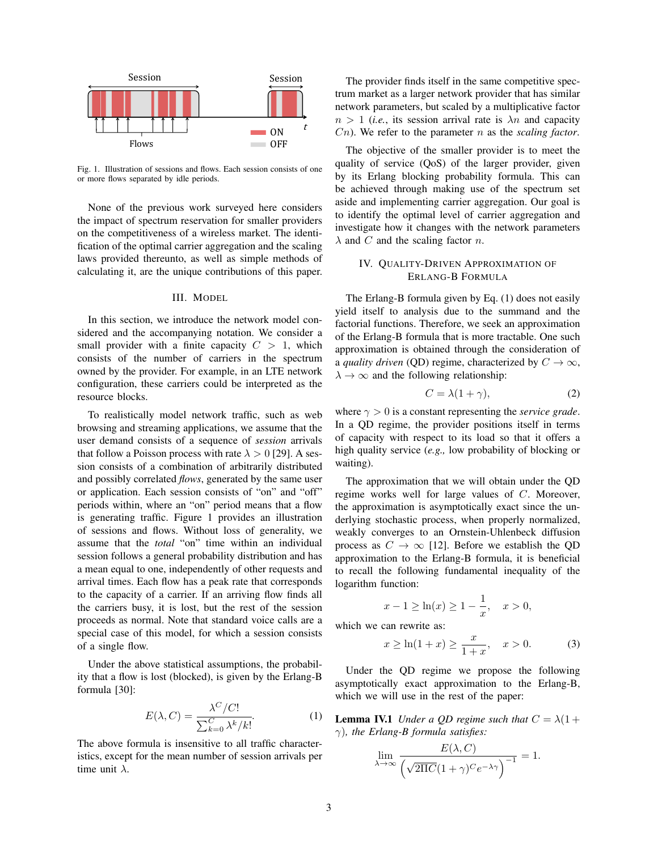

Fig. 1. Illustration of sessions and flows. Each session consists of one or more flows separated by idle periods.

None of the previous work surveyed here considers the impact of spectrum reservation for smaller providers on the competitiveness of a wireless market. The identification of the optimal carrier aggregation and the scaling laws provided thereunto, as well as simple methods of calculating it, are the unique contributions of this paper.

#### III. MODEL

In this section, we introduce the network model considered and the accompanying notation. We consider a small provider with a finite capacity  $C > 1$ , which consists of the number of carriers in the spectrum owned by the provider. For example, in an LTE network configuration, these carriers could be interpreted as the resource blocks.

To realistically model network traffic, such as web browsing and streaming applications, we assume that the user demand consists of a sequence of *session* arrivals that follow a Poisson process with rate  $\lambda > 0$  [29]. A session consists of a combination of arbitrarily distributed and possibly correlated *flows*, generated by the same user or application. Each session consists of "on" and "off" periods within, where an "on" period means that a flow is generating traffic. Figure 1 provides an illustration of sessions and flows. Without loss of generality, we assume that the *total* "on" time within an individual session follows a general probability distribution and has a mean equal to one, independently of other requests and arrival times. Each flow has a peak rate that corresponds to the capacity of a carrier. If an arriving flow finds all the carriers busy, it is lost, but the rest of the session proceeds as normal. Note that standard voice calls are a special case of this model, for which a session consists of a single flow.

Under the above statistical assumptions, the probability that a flow is lost (blocked), is given by the Erlang-B formula [30]:

$$
E(\lambda, C) = \frac{\lambda^C / C!}{\sum_{k=0}^C \lambda^k / k!}.
$$
 (1)

The above formula is insensitive to all traffic characteristics, except for the mean number of session arrivals per time unit  $\lambda$ .

The provider finds itself in the same competitive spectrum market as a larger network provider that has similar network parameters, but scaled by a multiplicative factor  $n > 1$  (*i.e.*, its session arrival rate is  $\lambda n$  and capacity Cn). We refer to the parameter n as the *scaling factor*.

The objective of the smaller provider is to meet the quality of service (QoS) of the larger provider, given by its Erlang blocking probability formula. This can be achieved through making use of the spectrum set aside and implementing carrier aggregation. Our goal is to identify the optimal level of carrier aggregation and investigate how it changes with the network parameters  $\lambda$  and C and the scaling factor n.

# IV. QUALITY-DRIVEN APPROXIMATION OF ERLANG-B FORMULA

The Erlang-B formula given by Eq. (1) does not easily yield itself to analysis due to the summand and the factorial functions. Therefore, we seek an approximation of the Erlang-B formula that is more tractable. One such approximation is obtained through the consideration of a *quality driven* (QD) regime, characterized by  $C \rightarrow \infty$ ,  $\lambda \rightarrow \infty$  and the following relationship:

$$
C = \lambda(1 + \gamma), \tag{2}
$$

where  $\gamma > 0$  is a constant representing the *service grade*. In a QD regime, the provider positions itself in terms of capacity with respect to its load so that it offers a high quality service (*e.g.,* low probability of blocking or waiting).

The approximation that we will obtain under the QD regime works well for large values of C. Moreover, the approximation is asymptotically exact since the underlying stochastic process, when properly normalized, weakly converges to an Ornstein-Uhlenbeck diffusion process as  $C \rightarrow \infty$  [12]. Before we establish the QD approximation to the Erlang-B formula, it is beneficial to recall the following fundamental inequality of the logarithm function:

$$
x - 1 \ge \ln(x) \ge 1 - \frac{1}{x}, \quad x > 0,
$$

which we can rewrite as:

$$
x \ge \ln(1+x) \ge \frac{x}{1+x}, \quad x > 0.
$$
 (3)

Under the QD regime we propose the following asymptotically exact approximation to the Erlang-B, which we will use in the rest of the paper:

**Lemma IV.1** *Under a QD regime such that*  $C = \lambda(1 + \lambda)$ γ)*, the Erlang-B formula satisfies:*

$$
\lim_{\lambda \to \infty} \frac{E(\lambda, C)}{\left(\sqrt{2\Pi C} (1 + \gamma)^C e^{-\lambda \gamma}\right)^{-1}} = 1.
$$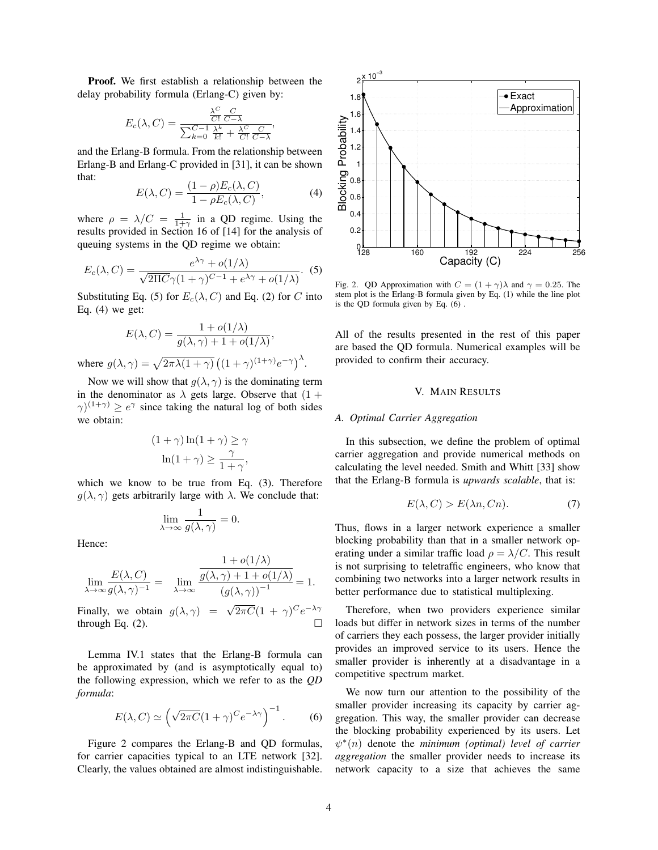Proof. We first establish a relationship between the delay probability formula (Erlang-C) given by:

$$
E_c(\lambda, C) = \frac{\frac{\lambda^C C}{C! C - \lambda}}{\sum_{k=0}^{C-1} \frac{\lambda^k}{k!} + \frac{\lambda^C C}{C! C - \lambda}},
$$

and the Erlang-B formula. From the relationship between Erlang-B and Erlang-C provided in [31], it can be shown that:

$$
E(\lambda, C) = \frac{(1 - \rho)E_c(\lambda, C)}{1 - \rho E_c(\lambda, C)},
$$
\n(4)

where  $\rho = \lambda / C = \frac{1}{1+\gamma}$  in a QD regime. Using the results provided in Section 16 of [14] for the analysis of queuing systems in the QD regime we obtain:

$$
E_c(\lambda, C) = \frac{e^{\lambda \gamma} + o(1/\lambda)}{\sqrt{2\Pi C \gamma (1 + \gamma)^{C-1} + e^{\lambda \gamma} + o(1/\lambda)}}.
$$
 (5)

Substituting Eq. (5) for  $E_c(\lambda, C)$  and Eq. (2) for C into Eq.  $(4)$  we get:

$$
E(\lambda, C) = \frac{1 + o(1/\lambda)}{g(\lambda, \gamma) + 1 + o(1/\lambda)},
$$
  
where  $g(\lambda, \gamma) = \sqrt{2\pi\lambda(1 + \gamma)} \left( (1 + \gamma)^{(1 + \gamma)} e^{-\gamma} \right)^{\lambda}$ 

.

Now we will show that  $g(\lambda, \gamma)$  is the dominating term in the denominator as  $\lambda$  gets large. Observe that  $(1 +$  $\gamma^{(1+\gamma)} \geq e^{\gamma}$  since taking the natural log of both sides we obtain:

$$
(1 + \gamma) \ln(1 + \gamma) \ge \gamma
$$

$$
\ln(1 + \gamma) \ge \frac{\gamma}{1 + \gamma},
$$

which we know to be true from Eq. (3). Therefore  $g(\lambda, \gamma)$  gets arbitrarily large with  $\lambda$ . We conclude that:

$$
\lim_{\lambda \to \infty} \frac{1}{g(\lambda, \gamma)} = 0.
$$

Hence:

$$
\lim_{\lambda \to \infty} \frac{E(\lambda, C)}{g(\lambda, \gamma)^{-1}} = \lim_{\lambda \to \infty} \frac{\frac{1 + o(1/\lambda)}{g(\lambda, \gamma) + 1 + o(1/\lambda)}}{\left(g(\lambda, \gamma)\right)^{-1}} = 1.
$$

 $1 + \frac{1}{2}(1/\lambda)$ 

Finally, we obtain  $g(\lambda, \gamma) = \sqrt{2\pi C}(1 + \gamma)^C e^{-\lambda \gamma}$ through Eq. (2).

Lemma IV.1 states that the Erlang-B formula can be approximated by (and is asymptotically equal to) the following expression, which we refer to as the *QD formula*:

$$
E(\lambda, C) \simeq \left(\sqrt{2\pi C}(1+\gamma)^C e^{-\lambda\gamma}\right)^{-1}.
$$
 (6)

Figure 2 compares the Erlang-B and QD formulas, for carrier capacities typical to an LTE network [32]. Clearly, the values obtained are almost indistinguishable.



Fig. 2. QD Approximation with  $C = (1 + \gamma)\lambda$  and  $\gamma = 0.25$ . The stem plot is the Erlang-B formula given by Eq. (1) while the line plot is the QD formula given by Eq. (6) .

All of the results presented in the rest of this paper are based the QD formula. Numerical examples will be provided to confirm their accuracy.

## V. MAIN RESULTS

#### *A. Optimal Carrier Aggregation*

In this subsection, we define the problem of optimal carrier aggregation and provide numerical methods on calculating the level needed. Smith and Whitt [33] show that the Erlang-B formula is *upwards scalable*, that is:

$$
E(\lambda, C) > E(\lambda n, Cn). \tag{7}
$$

Thus, flows in a larger network experience a smaller blocking probability than that in a smaller network operating under a similar traffic load  $\rho = \lambda/C$ . This result is not surprising to teletraffic engineers, who know that combining two networks into a larger network results in better performance due to statistical multiplexing.

Therefore, when two providers experience similar loads but differ in network sizes in terms of the number of carriers they each possess, the larger provider initially provides an improved service to its users. Hence the smaller provider is inherently at a disadvantage in a competitive spectrum market.

We now turn our attention to the possibility of the smaller provider increasing its capacity by carrier aggregation. This way, the smaller provider can decrease the blocking probability experienced by its users. Let  $ψ*(n)$  denote the *minimum (optimal) level of carrier aggregation* the smaller provider needs to increase its network capacity to a size that achieves the same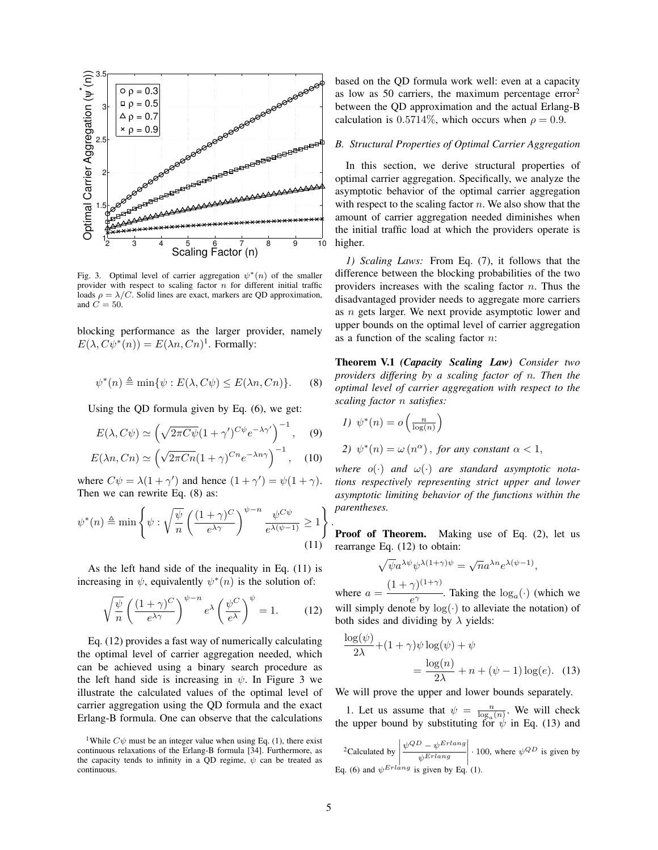

Fig. 3. Optimal level of carrier aggregation  $\psi^*(n)$  of the smaller provider with respect to scaling factor  $n$  for different initial traffic loads  $\rho = \lambda/C$ . Solid lines are exact, markers are QD approximation, and  $C = 50$ .

blocking performance as the larger provider, namely  $E(\lambda, C\psi^*(n)) = E(\lambda n, Cn)^1$ . Formally:

$$
\psi^*(n) \triangleq \min{\psi : E(\lambda, C\psi) \le E(\lambda n, Cn)}.
$$
 (8)

Using the QD formula given by Eq. (6), we get:

$$
E(\lambda, C\psi) \simeq \left(\sqrt{2\pi C\psi}(1+\gamma')^{C\psi}e^{-\lambda\gamma'}\right)^{-1}, \quad (9)
$$

$$
E(\lambda n, Cn) \simeq \left(\sqrt{2\pi Cn}(1+\gamma)^{Cn}e^{-\lambda n\gamma}\right)^{-1}, \quad (10)
$$

where  $C\psi = \lambda(1 + \gamma')$  and hence  $(1 + \gamma') = \psi(1 + \gamma)$ . Then we can rewrite Eq. (8) as:

$$
\psi^*(n) \triangleq \min\left\{\psi : \sqrt{\frac{\psi}{n}} \left(\frac{(1+\gamma)^C}{e^{\lambda \gamma}}\right)^{\psi-n} \frac{\psi^{C\psi}}{e^{\lambda(\psi-1)}} \ge 1\right\}
$$
(11)

As the left hand side of the inequality in Eq. (11) is increasing in  $\psi$ , equivalently  $\psi^*(n)$  is the solution of:

$$
\sqrt{\frac{\psi}{n}} \left( \frac{(1+\gamma)^C}{e^{\lambda \gamma}} \right)^{\psi-n} e^{\lambda} \left( \frac{\psi^C}{e^{\lambda}} \right)^{\psi} = 1.
$$
 (12)

Eq. (12) provides a fast way of numerically calculating the optimal level of carrier aggregation needed, which can be achieved using a binary search procedure as the left hand side is increasing in  $\psi$ . In Figure 3 we illustrate the calculated values of the optimal level of carrier aggregation using the QD formula and the exact Erlang-B formula. One can observe that the calculations

based on the QD formula work well: even at a capacity as low as 50 carriers, the maximum percentage  $error<sup>2</sup>$ between the QD approximation and the actual Erlang-B calculation is 0.5714%, which occurs when  $\rho = 0.9$ .

#### *B. Structural Properties of Optimal Carrier Aggregation*

In this section, we derive structural properties of optimal carrier aggregation. Specifically, we analyze the asymptotic behavior of the optimal carrier aggregation with respect to the scaling factor  $n$ . We also show that the amount of carrier aggregation needed diminishes when the initial traffic load at which the providers operate is higher.

*1) Scaling Laws:* From Eq. (7), it follows that the difference between the blocking probabilities of the two providers increases with the scaling factor  $n$ . Thus the disadvantaged provider needs to aggregate more carriers as n gets larger. We next provide asymptotic lower and upper bounds on the optimal level of carrier aggregation as a function of the scaling factor  $n$ :

Theorem V.1 *(Capacity Scaling Law) Consider two providers differing by a scaling factor of* n*. Then the optimal level of carrier aggregation with respect to the scaling factor* n *satisfies:*

1) 
$$
\psi^*(n) = o\left(\frac{n}{\log(n)}\right)
$$
  
2)  $\psi^*(n) = \omega(n^{\alpha}), \text{ for any constant } \alpha < 1,$ 

where  $o(\cdot)$  and  $\omega(\cdot)$  are standard asymptotic nota*tions respectively representing strict upper and lower asymptotic limiting behavior of the functions within the parentheses.*

Proof of Theorem. Making use of Eq. (2), let us rearrange Eq. (12) to obtain:

$$
\sqrt{\psi}a^{\lambda\psi}\psi^{\lambda(1+\gamma)\psi} = \sqrt{n}a^{\lambda n}e^{\lambda(\psi-1)},
$$

where  $a = \frac{(1+\gamma)^{(1+\gamma)}}{x}$  $\frac{e^{\gamma}}{e^{\gamma}}$ . Taking the  $\log_a(\cdot)$  (which we will simply denote by  $log(·)$  to alleviate the notation) of both sides and dividing by  $\lambda$  yields:

$$
\frac{\log(\psi)}{2\lambda} + (1+\gamma)\psi \log(\psi) + \psi
$$

$$
= \frac{\log(n)}{2\lambda} + n + (\psi - 1)\log(e). \quad (13)
$$

We will prove the upper and lower bounds separately.

1. Let us assume that  $\psi = \frac{n}{\log_a(n)}$ . We will check the upper bound by substituting for  $\psi$  in Eq. (13) and

<sup>2</sup>Calculated by  $\left| \begin{array}{c} 2 \end{array} \right|$  $\psi^{QD} = \psi^{Erlang}$  $\psi^{Erlang}$   $\cdot$  100, where  $\psi^{QD}$  is given by Eq. (6) and  $\psi^{Erlang}$  is given by Eq. (1).

.

<sup>&</sup>lt;sup>1</sup>While  $C\psi$  must be an integer value when using Eq. (1), there exist continuous relaxations of the Erlang-B formula [34]. Furthermore, as the capacity tends to infinity in a QD regime,  $\psi$  can be treated as continuous.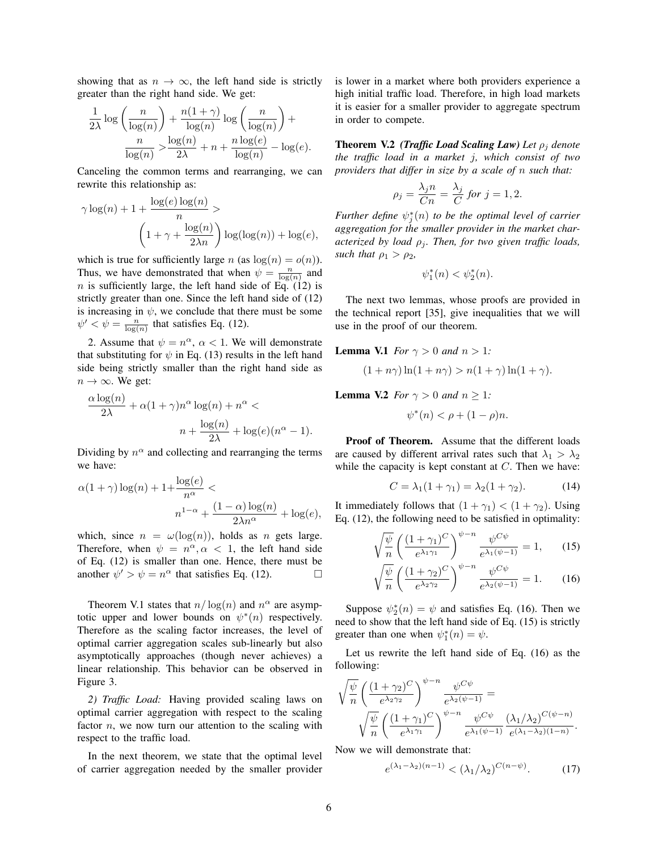showing that as  $n \to \infty$ , the left hand side is strictly greater than the right hand side. We get:

$$
\frac{1}{2\lambda} \log \left( \frac{n}{\log(n)} \right) + \frac{n(1+\gamma)}{\log(n)} \log \left( \frac{n}{\log(n)} \right) + \frac{n}{\log(n)} > \frac{\log(n)}{2\lambda} + n + \frac{n \log(e)}{\log(n)} - \log(e).
$$

Canceling the common terms and rearranging, we can rewrite this relationship as:

$$
\gamma \log(n) + 1 + \frac{\log(e) \log(n)}{n} >
$$

$$
\left(1 + \gamma + \frac{\log(n)}{2\lambda n}\right) \log(\log(n)) + \log(e),
$$

which is true for sufficiently large n (as  $log(n) = o(n)$ ). Thus, we have demonstrated that when  $\psi = \frac{n}{\log(n)}$  and *n* is sufficiently large, the left hand side of Eq. (12) is strictly greater than one. Since the left hand side of (12) is increasing in  $\psi$ , we conclude that there must be some  $\psi' < \psi = \frac{n}{\log(n)}$  that satisfies Eq. (12).

2. Assume that  $\psi = n^{\alpha}$ ,  $\alpha < 1$ . We will demonstrate that substituting for  $\psi$  in Eq. (13) results in the left hand side being strictly smaller than the right hand side as  $n \to \infty$ . We get:

$$
\frac{\alpha \log(n)}{2\lambda} + \alpha (1+\gamma)n^{\alpha} \log(n) + n^{\alpha} <
$$

$$
n + \frac{\log(n)}{2\lambda} + \log(e)(n^{\alpha} - 1).
$$

Dividing by  $n^{\alpha}$  and collecting and rearranging the terms we have:

$$
\alpha(1+\gamma)\log(n) + 1 + \frac{\log(e)}{n^{\alpha}} <
$$

$$
n^{1-\alpha} + \frac{(1-\alpha)\log(n)}{2\lambda n^{\alpha}} + \log(e),
$$

which, since  $n = \omega(\log(n))$ , holds as n gets large. Therefore, when  $\psi = n^{\alpha}, \alpha < 1$ , the left hand side of Eq. (12) is smaller than one. Hence, there must be another  $\psi' > \psi = n^{\alpha}$  that satisfies Eq. (12).

Theorem V.1 states that  $n/\log(n)$  and  $n^{\alpha}$  are asymptotic upper and lower bounds on  $\psi^*(n)$  respectively. Therefore as the scaling factor increases, the level of optimal carrier aggregation scales sub-linearly but also asymptotically approaches (though never achieves) a linear relationship. This behavior can be observed in Figure 3.

*2) Traffic Load:* Having provided scaling laws on optimal carrier aggregation with respect to the scaling factor  $n$ , we now turn our attention to the scaling with respect to the traffic load.

In the next theorem, we state that the optimal level of carrier aggregation needed by the smaller provider is lower in a market where both providers experience a high initial traffic load. Therefore, in high load markets it is easier for a smaller provider to aggregate spectrum in order to compete.

**Theorem V.2** *(Traffic Load Scaling Law) Let*  $ρ<sub>j</sub>$  *denote the traffic load in a market* j*, which consist of two providers that differ in size by a scale of* n *such that:*

$$
\rho_j = \frac{\lambda_j n}{Cn} = \frac{\lambda_j}{C} \text{ for } j = 1, 2.
$$

Further define  $\psi_j^*(n)$  to be the optimal level of carrier *aggregation for the smaller provider in the market characterized by load*  $\rho_i$ *. Then, for two given traffic loads, such that*  $\rho_1 > \rho_2$ *,* 

$$
\psi_1^*(n) < \psi_2^*(n).
$$

The next two lemmas, whose proofs are provided in the technical report [35], give inequalities that we will use in the proof of our theorem.

**Lemma V.1** For 
$$
\gamma > 0
$$
 and  $n > 1$ :  
\n
$$
(1 + n\gamma) \ln(1 + n\gamma) > n(1 + \gamma) \ln(1 + \gamma).
$$

**Lemma V.2** *For*  $\gamma > 0$  *and*  $n \geq 1$ *:* 

$$
\psi^*(n) < \rho + (1 - \rho)n.
$$

Proof of Theorem. Assume that the different loads are caused by different arrival rates such that  $\lambda_1 > \lambda_2$ while the capacity is kept constant at  $C$ . Then we have:

$$
C = \lambda_1 (1 + \gamma_1) = \lambda_2 (1 + \gamma_2).
$$
 (14)

It immediately follows that  $(1 + \gamma_1) < (1 + \gamma_2)$ . Using Eq. (12), the following need to be satisfied in optimality:

$$
\sqrt{\frac{\psi}{n}} \left( \frac{(1+\gamma_1)^C}{e^{\lambda_1 \gamma_1}} \right)^{\psi-n} \frac{\psi^{C\psi}}{e^{\lambda_1 (\psi-1)}} = 1, \quad (15)
$$

$$
\sqrt{\psi} \left( (1+\gamma_2)^C \right)^{\psi-n} \psi^{C\psi}
$$

$$
\sqrt{\frac{\psi}{n} \left( \frac{(1+\gamma_2)^C}{e^{\lambda_2 \gamma_2}} \right)^{\psi-n}} \frac{\psi^{C\psi}}{e^{\lambda_2(\psi-1)}} = 1. \quad (16)
$$

Suppose  $\psi_2^*(n) = \psi$  and satisfies Eq. (16). Then we need to show that the left hand side of Eq. (15) is strictly greater than one when  $\psi_1^*(n) = \psi$ .

Let us rewrite the left hand side of Eq. (16) as the following:

$$
\sqrt{\frac{\psi}{n}} \left( \frac{(1+\gamma_2)^C}{e^{\lambda_2 \gamma_2}} \right)^{\psi-n} \frac{\psi^{C\psi}}{e^{\lambda_2 (\psi-1)}} = \sqrt{\frac{\psi}{n}} \left( \frac{(1+\gamma_1)^C}{e^{\lambda_1 \gamma_1}} \right)^{\psi-n} \frac{\psi^{C\psi}}{e^{\lambda_1 (\psi-1)}} \frac{(\lambda_1/\lambda_2)^{C(\psi-n)}}{e^{(\lambda_1-\lambda_2)(1-n)}}.
$$

Now we will demonstrate that:

$$
e^{(\lambda_1 - \lambda_2)(n-1)} < (\lambda_1/\lambda_2)^{C(n-\psi)}.\tag{17}
$$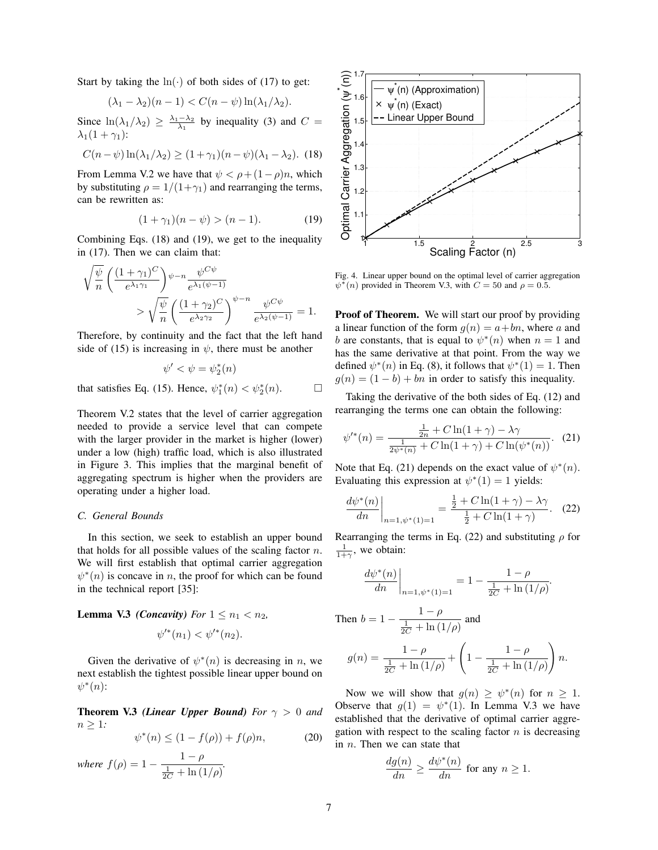Start by taking the  $ln(·)$  of both sides of (17) to get:

$$
(\lambda_1 - \lambda_2)(n-1) < C(n-\psi)\ln(\lambda_1/\lambda_2).
$$

Since  $\ln(\lambda_1/\lambda_2) \geq \frac{\lambda_1-\lambda_2}{\lambda_1}$  by inequality (3) and  $C =$  $\lambda_1(1+\gamma_1)$ :

$$
C(n-\psi)\ln(\lambda_1/\lambda_2) \ge (1+\gamma_1)(n-\psi)(\lambda_1-\lambda_2). \tag{18}
$$

From Lemma V.2 we have that  $\psi < \rho + (1 - \rho)n$ , which by substituting  $\rho = 1/(1+\gamma_1)$  and rearranging the terms, can be rewritten as:

$$
(1 + \gamma_1)(n - \psi) > (n - 1). \tag{19}
$$

Combining Eqs. (18) and (19), we get to the inequality in (17). Then we can claim that:

$$
\sqrt{\frac{\psi}{n}} \left( \frac{(1+\gamma_1)^C}{e^{\lambda_1 \gamma_1}} \right)^{\psi-n} \frac{\psi^{C\psi}}{e^{\lambda_1 (\psi-1)}}
$$
  
> 
$$
\sqrt{\frac{\psi}{n}} \left( \frac{(1+\gamma_2)^C}{e^{\lambda_2 \gamma_2}} \right)^{\psi-n} \frac{\psi^{C\psi}}{e^{\lambda_2 (\psi-1)}} = 1.
$$

Therefore, by continuity and the fact that the left hand side of (15) is increasing in  $\psi$ , there must be another

$$
\psi' < \psi = \psi_2^*(n)
$$

that satisfies Eq. (15). Hence,  $\psi_1^*(n) < \psi_2^*(n)$ .  $\Box$ 

Theorem V.2 states that the level of carrier aggregation needed to provide a service level that can compete with the larger provider in the market is higher (lower) under a low (high) traffic load, which is also illustrated in Figure 3. This implies that the marginal benefit of aggregating spectrum is higher when the providers are operating under a higher load.

#### *C. General Bounds*

In this section, we seek to establish an upper bound that holds for all possible values of the scaling factor  $n$ . We will first establish that optimal carrier aggregation  $\psi^*(n)$  is concave in n, the proof for which can be found in the technical report [35]:

# **Lemma V.3** *(Concavity) For*  $1 \le n_1 < n_2$ ,

$$
\psi'^*(n_1) < \psi'^*(n_2).
$$

Given the derivative of  $\psi^*(n)$  is decreasing in n, we next establish the tightest possible linear upper bound on  $\psi^*(n)$ :

**Theorem V.3** *(Linear Upper Bound) For*  $\gamma > 0$  *and*  $n \geq 1$ *:* 

$$
\psi^*(n) \le (1 - f(\rho)) + f(\rho)n,\tag{20}
$$

where 
$$
f(\rho) = 1 - \frac{1 - \rho}{\frac{1}{2C} + \ln(1/\rho)}
$$
.



Fig. 4. Linear upper bound on the optimal level of carrier aggregation  $\psi^*(n)$  provided in Theorem V.3, with  $C = 50$  and  $\rho = 0.5$ .

Proof of Theorem. We will start our proof by providing a linear function of the form  $g(n) = a + bn$ , where a and b are constants, that is equal to  $\psi^*(n)$  when  $n = 1$  and has the same derivative at that point. From the way we defined  $\psi^*(n)$  in Eq. (8), it follows that  $\psi^*(1) = 1$ . Then  $q(n) = (1 - b) + bn$  in order to satisfy this inequality.

Taking the derivative of the both sides of Eq. (12) and rearranging the terms one can obtain the following:

$$
\psi'^{*}(n) = \frac{\frac{1}{2n} + C \ln(1+\gamma) - \lambda \gamma}{\frac{1}{2\psi^*(n)} + C \ln(1+\gamma) + C \ln(\psi^*(n))}.
$$
 (21)

Note that Eq. (21) depends on the exact value of  $\psi^*(n)$ . Evaluating this expression at  $\psi^*(1) = 1$  yields:

$$
\left. \frac{d\psi^*(n)}{dn} \right|_{n=1,\psi^*(1)=1} = \frac{\frac{1}{2} + C\ln(1+\gamma) - \lambda\gamma}{\frac{1}{2} + C\ln(1+\gamma)}. (22)
$$

Rearranging the terms in Eq. (22) and substituting  $\rho$  for  $\frac{1}{1+\gamma}$ , we obtain:

$$
\left. \frac{d\psi^*(n)}{dn} \right|_{n=1, \psi^*(1)=1} = 1 - \frac{1-\rho}{\frac{1}{2C} + \ln(1/\rho)}.
$$

Then 
$$
b = 1 - \frac{1 - \rho}{\frac{1}{2C} + \ln(1/\rho)}
$$
 and  

$$
g(n) = \frac{1 - \rho}{\frac{1}{2C} + \ln(1/\rho)} + \left(1 - \frac{1 - \rho}{\frac{1}{2C} + \ln(1/\rho)}\right)
$$

Now we will show that  $g(n) \geq \psi^*(n)$  for  $n \geq 1$ . Observe that  $g(1) = \psi^*(1)$ . In Lemma V.3 we have established that the derivative of optimal carrier aggregation with respect to the scaling factor  $n$  is decreasing in n. Then we can state that

 $\overline{n}$ .

$$
\frac{dg(n)}{dn} \ge \frac{d\psi^*(n)}{dn}
$$
 for any  $n \ge 1$ .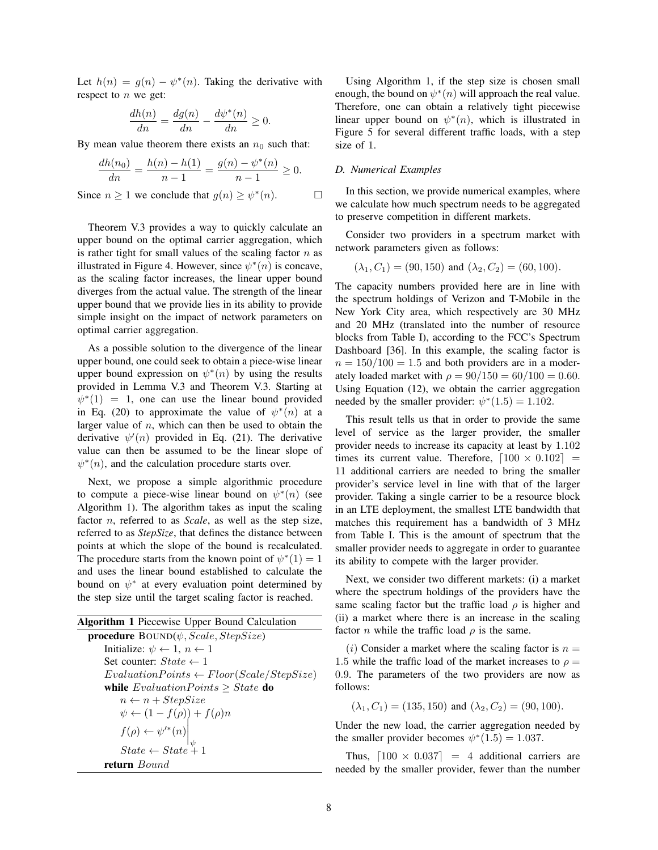Let  $h(n) = g(n) - \psi^*(n)$ . Taking the derivative with respect to  $n$  we get:

$$
\frac{dh(n)}{dn} = \frac{dg(n)}{dn} - \frac{d\psi^*(n)}{dn} \ge 0.
$$

By mean value theorem there exists an  $n_0$  such that:

$$
\frac{dh(n_0)}{dn} = \frac{h(n) - h(1)}{n - 1} = \frac{g(n) - \psi^*(n)}{n - 1} \ge 0.
$$

Since  $n \ge 1$  we conclude that  $g(n) \ge \psi^*(n)$ .

Theorem V.3 provides a way to quickly calculate an upper bound on the optimal carrier aggregation, which is rather tight for small values of the scaling factor  $n$  as illustrated in Figure 4. However, since  $\psi^*(n)$  is concave, as the scaling factor increases, the linear upper bound diverges from the actual value. The strength of the linear upper bound that we provide lies in its ability to provide simple insight on the impact of network parameters on optimal carrier aggregation.

As a possible solution to the divergence of the linear upper bound, one could seek to obtain a piece-wise linear upper bound expression on  $\psi^*(n)$  by using the results provided in Lemma V.3 and Theorem V.3. Starting at  $\psi^*(1) = 1$ , one can use the linear bound provided in Eq. (20) to approximate the value of  $\psi^*(n)$  at a larger value of  $n$ , which can then be used to obtain the derivative  $\psi'(n)$  provided in Eq. (21). The derivative value can then be assumed to be the linear slope of  $\psi^*(n)$ , and the calculation procedure starts over.

Next, we propose a simple algorithmic procedure to compute a piece-wise linear bound on  $\psi^*(n)$  (see Algorithm 1). The algorithm takes as input the scaling factor n, referred to as *Scale*, as well as the step size, referred to as *StepSize*, that defines the distance between points at which the slope of the bound is recalculated. The procedure starts from the known point of  $\psi^*(1) = 1$ and uses the linear bound established to calculate the bound on  $\psi^*$  at every evaluation point determined by the step size until the target scaling factor is reached.

| <b>Algorithm 1 Piecewise Upper Bound Calculation</b> |
|------------------------------------------------------|
| <b>procedure</b> $BOUND(\psi, Scale, StepSize)$      |
| Initialize: $\psi \leftarrow 1, n \leftarrow 1$      |
| Set counter: $State \leftarrow 1$                    |
| $EvaluationPoints \leftarrow Floor(Scale/StepSize)$  |
| while $EvaluationPoints \ge State$ do                |
| $n \leftarrow n + StepSize$                          |
| $\psi \leftarrow (1 - f(\rho)) + f(\rho)n$           |
| $f(\rho) \leftarrow \psi'^*(n) \bigg _{\psi}$        |
| $State \leftarrow State + 1$                         |
| return Bound                                         |

Using Algorithm 1, if the step size is chosen small enough, the bound on  $\psi^*(n)$  will approach the real value. Therefore, one can obtain a relatively tight piecewise linear upper bound on  $\psi^*(n)$ , which is illustrated in Figure 5 for several different traffic loads, with a step size of 1.

# *D. Numerical Examples*

In this section, we provide numerical examples, where we calculate how much spectrum needs to be aggregated to preserve competition in different markets.

Consider two providers in a spectrum market with network parameters given as follows:

$$
(\lambda_1, C_1) = (90, 150)
$$
 and  $(\lambda_2, C_2) = (60, 100)$ .

The capacity numbers provided here are in line with the spectrum holdings of Verizon and T-Mobile in the New York City area, which respectively are 30 MHz and 20 MHz (translated into the number of resource blocks from Table I), according to the FCC's Spectrum Dashboard [36]. In this example, the scaling factor is  $n = 150/100 = 1.5$  and both providers are in a moderately loaded market with  $\rho = 90/150 = 60/100 = 0.60$ . Using Equation (12), we obtain the carrier aggregation needed by the smaller provider:  $\psi^*(1.5) = 1.102$ .

This result tells us that in order to provide the same level of service as the larger provider, the smaller provider needs to increase its capacity at least by 1.102 times its current value. Therefore,  $\begin{bmatrix} 100 \times 0.102 \end{bmatrix}$  = 11 additional carriers are needed to bring the smaller provider's service level in line with that of the larger provider. Taking a single carrier to be a resource block in an LTE deployment, the smallest LTE bandwidth that matches this requirement has a bandwidth of 3 MHz from Table I. This is the amount of spectrum that the smaller provider needs to aggregate in order to guarantee its ability to compete with the larger provider.

Next, we consider two different markets: (i) a market where the spectrum holdings of the providers have the same scaling factor but the traffic load  $\rho$  is higher and (ii) a market where there is an increase in the scaling factor *n* while the traffic load  $\rho$  is the same.

(i) Consider a market where the scaling factor is  $n =$ 1.5 while the traffic load of the market increases to  $\rho =$ 0.9. The parameters of the two providers are now as follows:

 $(\lambda_1, C_1) = (135, 150)$  and  $(\lambda_2, C_2) = (90, 100)$ .

Under the new load, the carrier aggregation needed by the smaller provider becomes  $\psi^*(1.5) = 1.037$ .

Thus,  $\begin{bmatrix}100 \times 0.037\end{bmatrix} = 4$  additional carriers are needed by the smaller provider, fewer than the number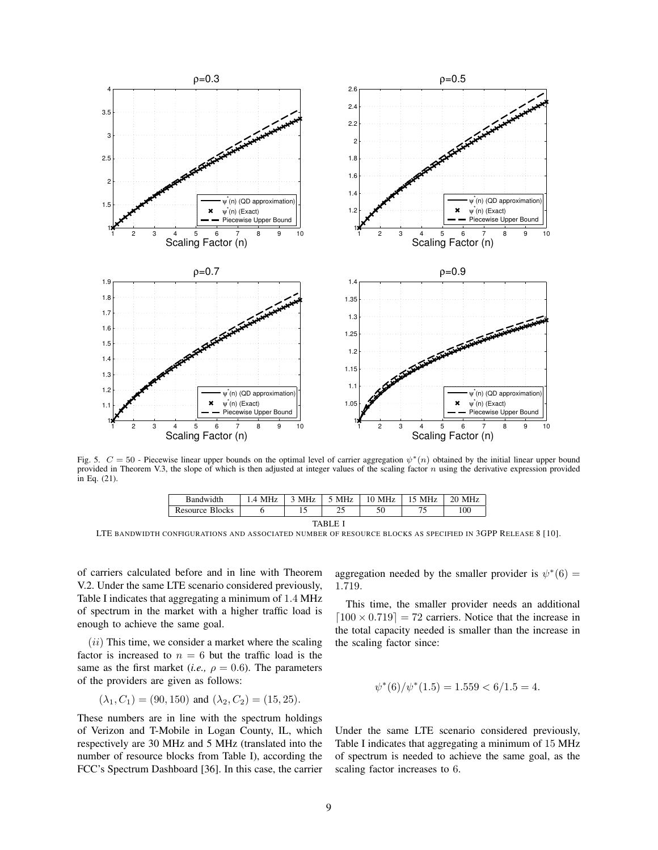

Fig. 5.  $C = 50$  - Piecewise linear upper bounds on the optimal level of carrier aggregation  $\psi^*(n)$  obtained by the initial linear upper bound provided in Theorem V.3, the slope of which is then adjusted at integer values of the scaling factor  $n$  using the derivative expression provided in Eq. (21).

| Bandwidth       | <b>MHz</b><br>.4 | MHz | 5 MHz           | 10 MHz | MH <sub>z</sub> | MHz |  |
|-----------------|------------------|-----|-----------------|--------|-----------------|-----|--|
| Resource Blocks |                  |     | $\Omega$<br>ل ک | 50     | ÷               | 100 |  |
| TARI E 1        |                  |     |                 |        |                 |     |  |

LTE BANDWIDTH CONFIGURATIONS AND ASSOCIATED NUMBER OF RESOURCE BLOCKS AS SPECIFIED IN 3GPP RELEASE 8 [10].

of carriers calculated before and in line with Theorem V.2. Under the same LTE scenario considered previously, Table I indicates that aggregating a minimum of 1.4 MHz of spectrum in the market with a higher traffic load is enough to achieve the same goal.

 $(ii)$  This time, we consider a market where the scaling factor is increased to  $n = 6$  but the traffic load is the same as the first market (*i.e.*,  $\rho = 0.6$ ). The parameters of the providers are given as follows:

$$
(\lambda_1, C_1) = (90, 150)
$$
 and  $(\lambda_2, C_2) = (15, 25)$ .

These numbers are in line with the spectrum holdings of Verizon and T-Mobile in Logan County, IL, which respectively are 30 MHz and 5 MHz (translated into the number of resource blocks from Table I), according the FCC's Spectrum Dashboard [36]. In this case, the carrier aggregation needed by the smaller provider is  $\psi^*(6) =$ 1.719.

This time, the smaller provider needs an additional  $[100 \times 0.719] = 72$  carriers. Notice that the increase in the total capacity needed is smaller than the increase in the scaling factor since:

$$
\psi^*(6)/\psi^*(1.5) = 1.559 < 6/1.5 = 4.
$$

Under the same LTE scenario considered previously, Table I indicates that aggregating a minimum of 15 MHz of spectrum is needed to achieve the same goal, as the scaling factor increases to 6.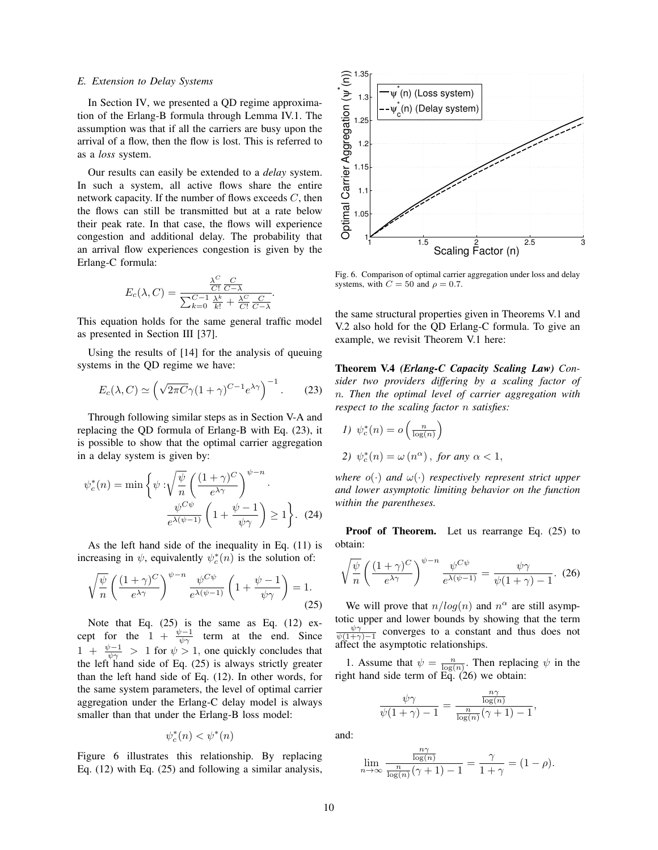#### *E. Extension to Delay Systems*

In Section IV, we presented a QD regime approximation of the Erlang-B formula through Lemma IV.1. The assumption was that if all the carriers are busy upon the arrival of a flow, then the flow is lost. This is referred to as a *loss* system.

Our results can easily be extended to a *delay* system. In such a system, all active flows share the entire network capacity. If the number of flows exceeds  $C$ , then the flows can still be transmitted but at a rate below their peak rate. In that case, the flows will experience congestion and additional delay. The probability that an arrival flow experiences congestion is given by the Erlang-C formula:

$$
E_c(\lambda, C) = \frac{\frac{\lambda^C}{C!} \frac{C}{C - \lambda}}{\sum_{k=0}^{C-1} \frac{\lambda^k}{k!} + \frac{\lambda^C}{C!} \frac{C}{C - \lambda}}.
$$

This equation holds for the same general traffic model as presented in Section III [37].

Using the results of [14] for the analysis of queuing systems in the QD regime we have:

$$
E_c(\lambda, C) \simeq \left(\sqrt{2\pi C}\gamma (1+\gamma)^{C-1} e^{\lambda \gamma}\right)^{-1}.
$$
 (23)

Through following similar steps as in Section V-A and replacing the QD formula of Erlang-B with Eq. (23), it is possible to show that the optimal carrier aggregation in a delay system is given by:

$$
\psi_c^*(n) = \min \left\{ \psi : \sqrt{\frac{\psi}{n}} \left( \frac{(1+\gamma)^C}{e^{\lambda \gamma}} \right)^{\psi - n} \cdot \frac{\psi^{C\psi}}{e^{\lambda(\psi - 1)}} \left( 1 + \frac{\psi - 1}{\psi \gamma} \right) \ge 1 \right\}.
$$
 (24)

As the left hand side of the inequality in Eq. (11) is increasing in  $\psi$ , equivalently  $\psi_c^*(n)$  is the solution of:

$$
\sqrt{\frac{\psi}{n}} \left( \frac{(1+\gamma)^C}{e^{\lambda \gamma}} \right)^{\psi-n} \frac{\psi^{C\psi}}{e^{\lambda(\psi-1)}} \left( 1 + \frac{\psi-1}{\psi \gamma} \right) = 1.
$$
\n(25)

Note that Eq. (25) is the same as Eq. (12) except for the  $1 + \frac{\psi - 1}{\psi \gamma}$  term at the end. Since  $1 + \frac{\psi - 1}{\psi \gamma} > 1$  for  $\psi > 1$ , one quickly concludes that the left hand side of Eq.  $(25)$  is always strictly greater than the left hand side of Eq. (12). In other words, for the same system parameters, the level of optimal carrier aggregation under the Erlang-C delay model is always smaller than that under the Erlang-B loss model:

$$
\psi_c^*(n) < \psi^*(n)
$$

Figure 6 illustrates this relationship. By replacing Eq. (12) with Eq. (25) and following a similar analysis,



Fig. 6. Comparison of optimal carrier aggregation under loss and delay systems, with  $C = 50$  and  $\rho = 0.7$ .

the same structural properties given in Theorems V.1 and V.2 also hold for the QD Erlang-C formula. To give an example, we revisit Theorem V.1 here:

Theorem V.4 *(Erlang-C Capacity Scaling Law) Consider two providers differing by a scaling factor of* n*. Then the optimal level of carrier aggregation with respect to the scaling factor* n *satisfies:*

1) 
$$
\psi_c^*(n) = o\left(\frac{n}{\log(n)}\right)
$$
  
2)  $\psi_c^*(n) = \omega(n^{\alpha}), \text{ for any } \alpha < 1,$ 

*where*  $o(\cdot)$  *and*  $\omega(\cdot)$  *respectively represent strict upper and lower asymptotic limiting behavior on the function within the parentheses.*

**Proof of Theorem.** Let us rearrange Eq. (25) to obtain:

$$
\sqrt{\frac{\psi}{n}} \left( \frac{(1+\gamma)^C}{e^{\lambda \gamma}} \right)^{\psi-n} \frac{\psi^{C\psi}}{e^{\lambda(\psi-1)}} = \frac{\psi \gamma}{\psi(1+\gamma)-1}.
$$
 (26)

We will prove that  $n/log(n)$  and  $n^{\alpha}$  are still asymptotic upper and lower bounds by showing that the term  $\frac{\psi \gamma}{\psi(1+\gamma)-1}$  converges to a constant and thus does not affect the asymptotic relationships.

1. Assume that  $\psi = \frac{n}{\log(n)}$ . Then replacing  $\psi$  in the right hand side term of  $\overline{Eq}$ . (26) we obtain:

$$
\frac{\psi\gamma}{\psi(1+\gamma)-1} = \frac{\frac{n\gamma}{\log(n)}}{\frac{n}{\log(n)}(\gamma+1)-1},
$$

and:

$$
\lim_{n \to \infty} \frac{\frac{n\gamma}{\log(n)}}{\frac{n}{\log(n)}(\gamma + 1) - 1} = \frac{\gamma}{1 + \gamma} = (1 - \rho).
$$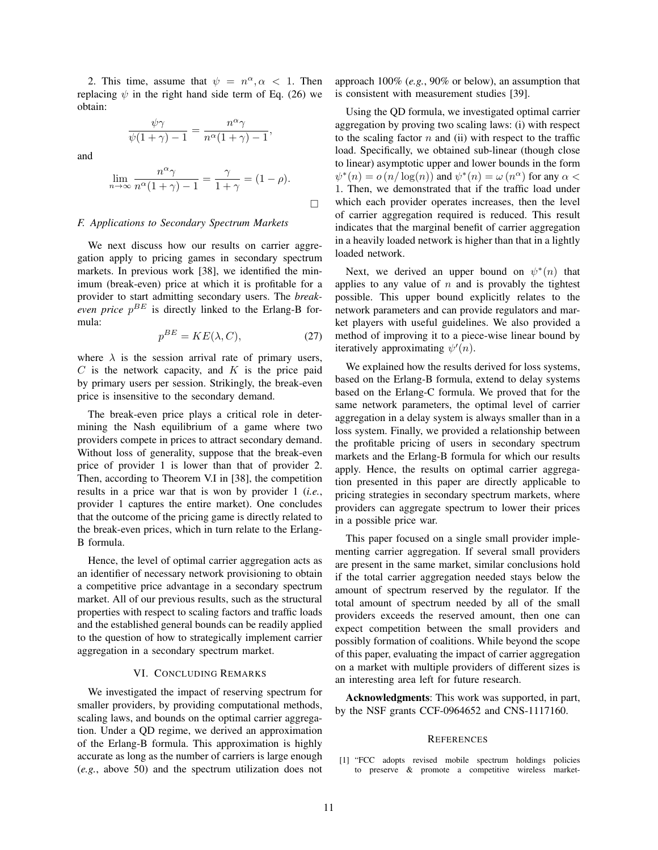2. This time, assume that  $\psi = n^{\alpha}, \alpha < 1$ . Then replacing  $\psi$  in the right hand side term of Eq. (26) we obtain:

$$
\frac{\psi\gamma}{\psi(1+\gamma)-1}=\frac{n^{\alpha}\gamma}{n^{\alpha}(1+\gamma)-1},
$$

and

$$
\lim_{n \to \infty} \frac{n^{\alpha} \gamma}{n^{\alpha} (1 + \gamma) - 1} = \frac{\gamma}{1 + \gamma} = (1 - \rho).
$$

# *F. Applications to Secondary Spectrum Markets*

We next discuss how our results on carrier aggregation apply to pricing games in secondary spectrum markets. In previous work [38], we identified the minimum (break-even) price at which it is profitable for a provider to start admitting secondary users. The *breakeven price* p BE is directly linked to the Erlang-B formula:

$$
p^{BE} = KE(\lambda, C), \tag{27}
$$

 $\Box$ 

where  $\lambda$  is the session arrival rate of primary users,  $C$  is the network capacity, and  $K$  is the price paid by primary users per session. Strikingly, the break-even price is insensitive to the secondary demand.

The break-even price plays a critical role in determining the Nash equilibrium of a game where two providers compete in prices to attract secondary demand. Without loss of generality, suppose that the break-even price of provider 1 is lower than that of provider 2. Then, according to Theorem V.I in [38], the competition results in a price war that is won by provider 1 (*i.e.*, provider 1 captures the entire market). One concludes that the outcome of the pricing game is directly related to the break-even prices, which in turn relate to the Erlang-B formula.

Hence, the level of optimal carrier aggregation acts as an identifier of necessary network provisioning to obtain a competitive price advantage in a secondary spectrum market. All of our previous results, such as the structural properties with respect to scaling factors and traffic loads and the established general bounds can be readily applied to the question of how to strategically implement carrier aggregation in a secondary spectrum market.

#### VI. CONCLUDING REMARKS

We investigated the impact of reserving spectrum for smaller providers, by providing computational methods, scaling laws, and bounds on the optimal carrier aggregation. Under a QD regime, we derived an approximation of the Erlang-B formula. This approximation is highly accurate as long as the number of carriers is large enough (*e.g.*, above 50) and the spectrum utilization does not approach 100% (*e.g.*, 90% or below), an assumption that is consistent with measurement studies [39].

Using the QD formula, we investigated optimal carrier aggregation by proving two scaling laws: (i) with respect to the scaling factor  $n$  and (ii) with respect to the traffic load. Specifically, we obtained sub-linear (though close to linear) asymptotic upper and lower bounds in the form  $\psi^*(n) = o\left(n/\log(n)\right)$  and  $\psi^*(n) = \omega\left(n^{\alpha}\right)$  for any  $\alpha$ 1. Then, we demonstrated that if the traffic load under which each provider operates increases, then the level of carrier aggregation required is reduced. This result indicates that the marginal benefit of carrier aggregation in a heavily loaded network is higher than that in a lightly loaded network.

Next, we derived an upper bound on  $\psi^*(n)$  that applies to any value of  $n$  and is provably the tightest possible. This upper bound explicitly relates to the network parameters and can provide regulators and market players with useful guidelines. We also provided a method of improving it to a piece-wise linear bound by iteratively approximating  $\psi'(n)$ .

We explained how the results derived for loss systems, based on the Erlang-B formula, extend to delay systems based on the Erlang-C formula. We proved that for the same network parameters, the optimal level of carrier aggregation in a delay system is always smaller than in a loss system. Finally, we provided a relationship between the profitable pricing of users in secondary spectrum markets and the Erlang-B formula for which our results apply. Hence, the results on optimal carrier aggregation presented in this paper are directly applicable to pricing strategies in secondary spectrum markets, where providers can aggregate spectrum to lower their prices in a possible price war.

This paper focused on a single small provider implementing carrier aggregation. If several small providers are present in the same market, similar conclusions hold if the total carrier aggregation needed stays below the amount of spectrum reserved by the regulator. If the total amount of spectrum needed by all of the small providers exceeds the reserved amount, then one can expect competition between the small providers and possibly formation of coalitions. While beyond the scope of this paper, evaluating the impact of carrier aggregation on a market with multiple providers of different sizes is an interesting area left for future research.

Acknowledgments: This work was supported, in part, by the NSF grants CCF-0964652 and CNS-1117160.

#### **REFERENCES**

[1] "FCC adopts revised mobile spectrum holdings policies to preserve & promote a competitive wireless market